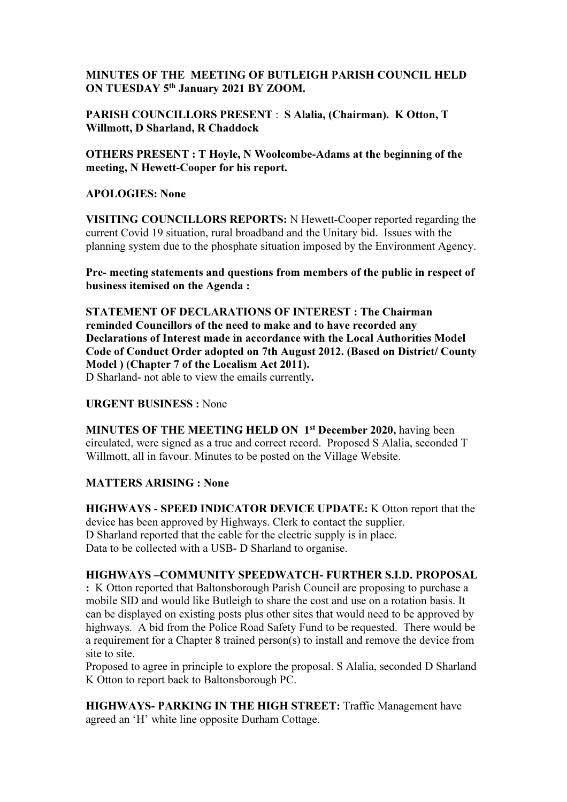# MINUTES OF THE MEETING OF BUTLEIGH PARISH COUNCIL HELD ON TUESDAY 5th January 2021 BY ZOOM.

PARISH COUNCILLORS PRESENT : S Alalia, (Chairman). K Otton, T Willmott, D Sharland, R Chaddock

OTHERS PRESENT : T Hoyle, N Woolcombe-Adams at the beginning of the meeting, N Hewett-Cooper for his report.

### APOLOGIES: None

VISITING COUNCILLORS REPORTS: N Hewett-Cooper reported regarding the current Covid 19 situation, rural broadband and the Unitary bid. Issues with the planning system due to the phosphate situation imposed by the Environment Agency.

Pre- meeting statements and questions from members of the public in respect of business itemised on the Agenda :

STATEMENT OF DECLARATIONS OF INTEREST : The Chairman reminded Councillors of the need to make and to have recorded any Declarations of Interest made in accordance with the Local Authorities Model Code of Conduct Order adopted on 7th August 2012. (Based on District/ County Model ) (Chapter 7 of the Localism Act 2011). D Sharland- not able to view the emails currently.

### URGENT BUSINESS : None

MINUTES OF THE MEETING HELD ON 1<sup>st</sup> December 2020, having been circulated, were signed as a true and correct record. Proposed S Alalia, seconded T Willmott, all in favour. Minutes to be posted on the Village Website.

### MATTERS ARISING : None

HIGHWAYS - SPEED INDICATOR DEVICE UPDATE: K Otton report that the device has been approved by Highways. Clerk to contact the supplier. D Sharland reported that the cable for the electric supply is in place. Data to be collected with a USB- D Sharland to organise.

### HIGHWAYS –COMMUNITY SPEEDWATCH- FURTHER S.I.D. PROPOSAL

: K Otton reported that Baltonsborough Parish Council are proposing to purchase a mobile SID and would like Butleigh to share the cost and use on a rotation basis. It can be displayed on existing posts plus other sites that would need to be approved by highways. A bid from the Police Road Safety Fund to be requested. There would be a requirement for a Chapter 8 trained person(s) to install and remove the device from site to site.

Proposed to agree in principle to explore the proposal. S Alalia, seconded D Sharland K Otton to report back to Baltonsborough PC.

HIGHWAYS- PARKING IN THE HIGH STREET: Traffic Management have agreed an 'H' white line opposite Durham Cottage.